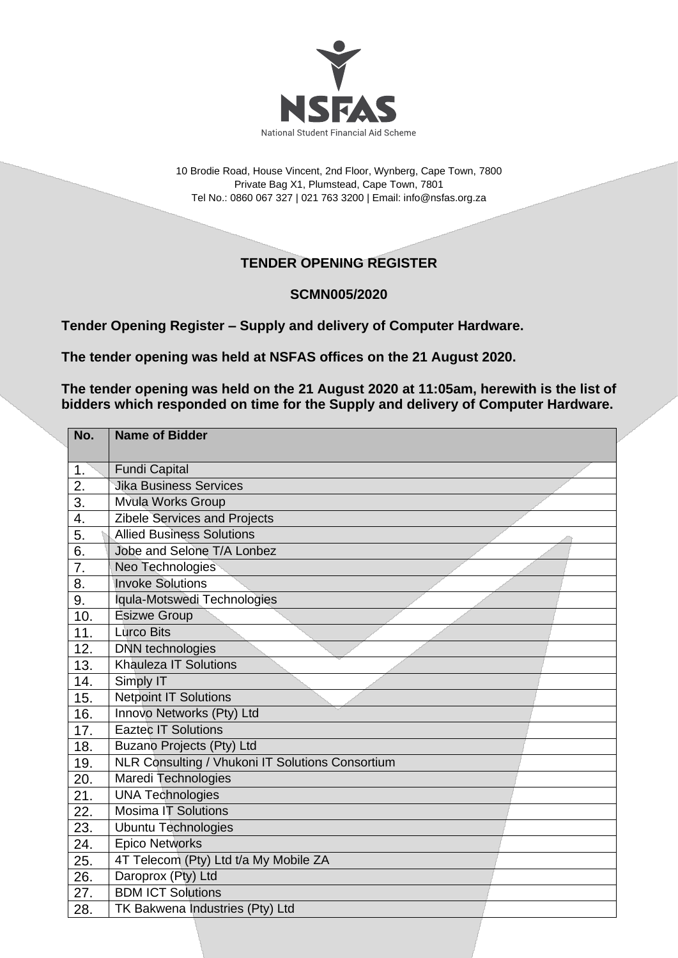

10 Brodie Road, House Vincent, 2nd Floor, Wynberg, Cape Town, 7800 Private Bag X1, Plumstead, Cape Town, 7801 Tel No.: 0860 067 327 | 021 763 3200 | Email[: info@nsfas.org.za](mailto:info@nsfas.org.za)

## **TENDER OPENING REGISTER**

## **SCMN005/2020**

**Tender Opening Register – Supply and delivery of Computer Hardware.**

**The tender opening was held at NSFAS offices on the 21 August 2020.**

**The tender opening was held on the 21 August 2020 at 11:05am, herewith is the list of bidders which responded on time for the Supply and delivery of Computer Hardware.**

| No.              | <b>Name of Bidder</b>                            |
|------------------|--------------------------------------------------|
|                  |                                                  |
| 1.               | <b>Fundi Capital</b>                             |
| 2.               | <b>Jika Business Services</b>                    |
| $\overline{3}$ . | <b>Mvula Works Group</b>                         |
| 4.               | Zibele Services and Projects                     |
| 5.               | <b>Allied Business Solutions</b>                 |
| 6.               | Jobe and Selone T/A Lonbez                       |
| 7.               | Neo Technologies                                 |
| 8.               | <b>Invoke Solutions</b>                          |
| 9.               | Iqula-Motswedi Technologies                      |
| 10.              | <b>Esizwe Group</b>                              |
| 11.              | <b>Lurco Bits</b>                                |
| 12.              | <b>DNN</b> technologies                          |
| 13.              | <b>Khauleza IT Solutions</b>                     |
| 14.              | Simply IT                                        |
| 15.              | <b>Netpoint IT Solutions</b>                     |
| 16.              | Innovo Networks (Pty) Ltd                        |
| 17.              | <b>Eaztec IT Solutions</b>                       |
| 18.              | Buzano Projects (Pty) Ltd                        |
| 19.              | NLR Consulting / Vhukoni IT Solutions Consortium |
| 20.              | Maredi Technologies                              |
| 21.              | <b>UNA Technologies</b>                          |
| 22.              | <b>Mosima IT Solutions</b>                       |
| 23.              | <b>Ubuntu Technologies</b>                       |
| 24.              | <b>Epico Networks</b>                            |
| 25.              | 4T Telecom (Pty) Ltd t/a My Mobile ZA            |
| 26.              | Daroprox (Pty) Ltd                               |
| 27.              | <b>BDM ICT Solutions</b>                         |
| 28.              | TK Bakwena Industries (Pty) Ltd                  |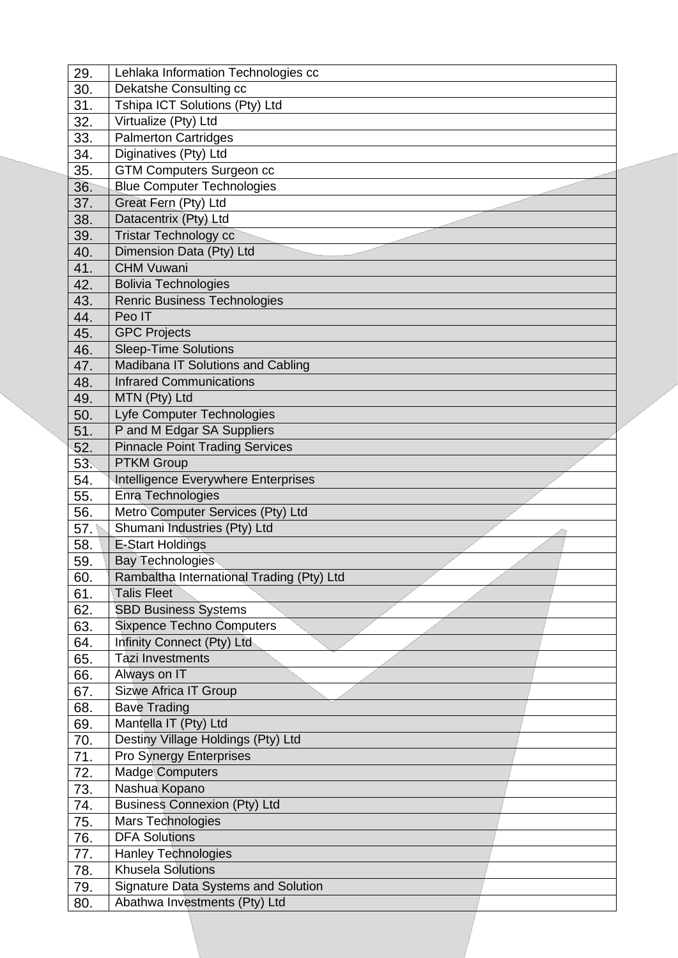| 29.        | Lehlaka Information Technologies cc                                         |
|------------|-----------------------------------------------------------------------------|
| 30.        | Dekatshe Consulting cc                                                      |
| 31.        | Tshipa ICT Solutions (Pty) Ltd                                              |
| 32.        | Virtualize (Pty) Ltd                                                        |
| 33.        | <b>Palmerton Cartridges</b>                                                 |
| 34.        | Diginatives (Pty) Ltd                                                       |
| 35.        | <b>GTM Computers Surgeon cc</b>                                             |
| 36.        | <b>Blue Computer Technologies</b>                                           |
| 37.        | Great Fern (Pty) Ltd                                                        |
| 38.        | Datacentrix (Pty) Ltd                                                       |
| 39.        | <b>Tristar Technology cc</b>                                                |
| 40.        | Dimension Data (Pty) Ltd                                                    |
| 41.        | <b>CHM Vuwani</b>                                                           |
| 42.        | <b>Bolivia Technologies</b>                                                 |
| 43.        | <b>Renric Business Technologies</b>                                         |
| 44.        | Peo IT                                                                      |
| 45.        | <b>GPC Projects</b>                                                         |
| 46.        | <b>Sleep-Time Solutions</b>                                                 |
| 47.        | Madibana IT Solutions and Cabling                                           |
| 48.        | <b>Infrared Communications</b>                                              |
| 49.        | MTN (Pty) Ltd                                                               |
| 50.        | Lyfe Computer Technologies                                                  |
| 51.        | P and M Edgar SA Suppliers                                                  |
| 52.        | <b>Pinnacle Point Trading Services</b>                                      |
| 53.        | <b>PTKM Group</b>                                                           |
| 54.        | Intelligence Everywhere Enterprises                                         |
| 55.        | Enra Technologies                                                           |
| 56.        | Metro Computer Services (Pty) Ltd                                           |
| 57.        | Shumani Industries (Pty) Ltd                                                |
| 58.        | <b>E-Start Holdings</b>                                                     |
| 59.        | <b>Bay Technologies</b>                                                     |
| 60.        | Rambaltha International Trading (Pty) Ltd                                   |
| 61.        | <b>Talis Fleet</b>                                                          |
| 62.        | <b>SBD Business Systems</b>                                                 |
| 63.        | <b>Sixpence Techno Computers</b>                                            |
| 64.        | Infinity Connect (Pty) Ltd                                                  |
| 65.        | <b>Tazi Investments</b>                                                     |
| 66.        | Always on IT                                                                |
| 67.        | Sizwe Africa IT Group                                                       |
| 68.        | <b>Bave Trading</b>                                                         |
| 69.        | Mantella IT (Pty) Ltd                                                       |
| 70.        | Destiny Village Holdings (Pty) Ltd                                          |
| 71.        |                                                                             |
| 72.        | Pro Synergy Enterprises                                                     |
|            | <b>Madge Computers</b>                                                      |
| 73.        | Nashua Kopano                                                               |
| 74.        | <b>Business Connexion (Pty) Ltd</b>                                         |
| 75.        | Mars Technologies                                                           |
| 76.        | <b>DFA Solutions</b>                                                        |
| 77.        | <b>Hanley Technologies</b>                                                  |
| 78.        | <b>Khusela Solutions</b>                                                    |
| 79.<br>80. | <b>Signature Data Systems and Solution</b><br>Abathwa Investments (Pty) Ltd |